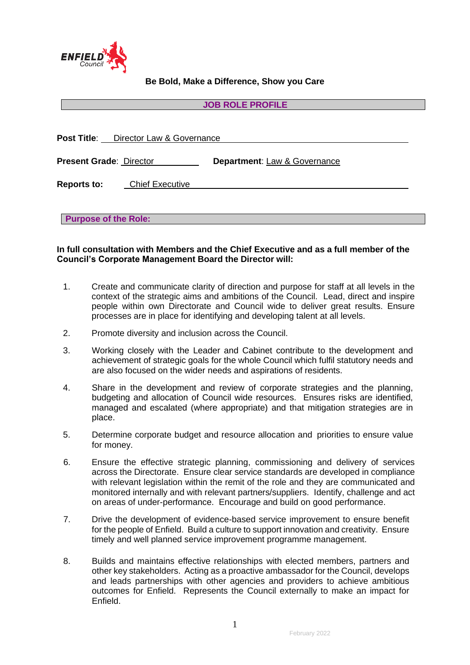

**Be Bold, Make a Difference, Show you Care**

#### **JOB ROLE PROFILE**

|                                | <b>Post Title:</b> Director Law & Governance |                              |
|--------------------------------|----------------------------------------------|------------------------------|
| <b>Present Grade: Director</b> |                                              | Department: Law & Governance |
| <b>Reports to:</b>             | <b>Chief Executive</b>                       |                              |
| <b>Purpose of the Role:</b>    |                                              |                              |

### **In full consultation with Members and the Chief Executive and as a full member of the Council's Corporate Management Board the Director will:**

- 1. Create and communicate clarity of direction and purpose for staff at all levels in the context of the strategic aims and ambitions of the Council. Lead, direct and inspire people within own Directorate and Council wide to deliver great results. Ensure processes are in place for identifying and developing talent at all levels.
- 2. Promote diversity and inclusion across the Council.
- 3. Working closely with the Leader and Cabinet contribute to the development and achievement of strategic goals for the whole Council which fulfil statutory needs and are also focused on the wider needs and aspirations of residents.
- 4. Share in the development and review of corporate strategies and the planning, budgeting and allocation of Council wide resources. Ensures risks are identified, managed and escalated (where appropriate) and that mitigation strategies are in place.
- 5. Determine corporate budget and resource allocation and priorities to ensure value for money.
- 6. Ensure the effective strategic planning, commissioning and delivery of services across the Directorate. Ensure clear service standards are developed in compliance with relevant legislation within the remit of the role and they are communicated and monitored internally and with relevant partners/suppliers. Identify, challenge and act on areas of under-performance. Encourage and build on good performance.
- 7. Drive the development of evidence-based service improvement to ensure benefit for the people of Enfield. Build a culture to support innovation and creativity. Ensure timely and well planned service improvement programme management.
- 8. Builds and maintains effective relationships with elected members, partners and other key stakeholders. Acting as a proactive ambassador for the Council, develops and leads partnerships with other agencies and providers to achieve ambitious outcomes for Enfield. Represents the Council externally to make an impact for Enfield.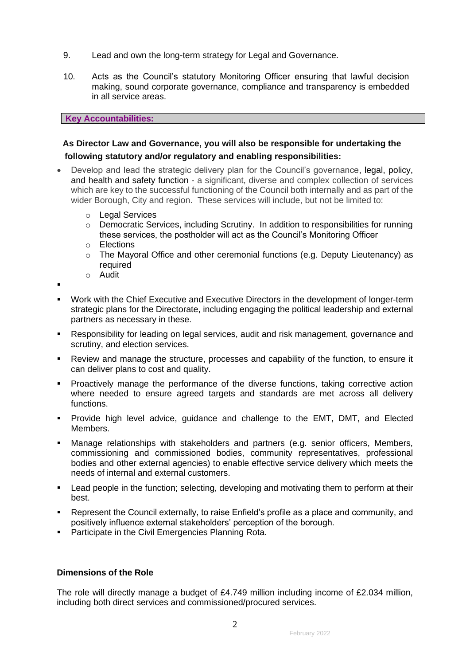- 9. Lead and own the long-term strategy for Legal and Governance.
- 10. Acts as the Council's statutory Monitoring Officer ensuring that lawful decision making, sound corporate governance, compliance and transparency is embedded in all service areas.

### **Key Accountabilities:**

# **As Director Law and Governance, you will also be responsible for undertaking the following statutory and/or regulatory and enabling responsibilities:**

- Develop and lead the strategic delivery plan for the Council's governance, legal, policy, and health and safety function - a significant, diverse and complex collection of services which are key to the successful functioning of the Council both internally and as part of the wider Borough, City and region. These services will include, but not be limited to:
	- o Legal Services
	- o Democratic Services, including Scrutiny. In addition to responsibilities for running these services, the postholder will act as the Council's Monitoring Officer
	- o Elections
	- o The Mayoral Office and other ceremonial functions (e.g. Deputy Lieutenancy) as required o Audit
	-

▪

- Work with the Chief Executive and Executive Directors in the development of longer-term strategic plans for the Directorate, including engaging the political leadership and external partners as necessary in these.
- Responsibility for leading on legal services, audit and risk management, governance and scrutiny, and election services.
- Review and manage the structure, processes and capability of the function, to ensure it can deliver plans to cost and quality.
- **•** Proactively manage the performance of the diverse functions, taking corrective action where needed to ensure agreed targets and standards are met across all delivery functions.
- Provide high level advice, guidance and challenge to the EMT, DMT, and Elected Members.
- Manage relationships with stakeholders and partners (e.g. senior officers, Members, commissioning and commissioned bodies, community representatives, professional bodies and other external agencies) to enable effective service delivery which meets the needs of internal and external customers.
- Lead people in the function; selecting, developing and motivating them to perform at their best.
- Represent the Council externally, to raise Enfield's profile as a place and community, and positively influence external stakeholders' perception of the borough.
- Participate in the Civil Emergencies Planning Rota.

# **Dimensions of the Role**

The role will directly manage a budget of £4.749 million including income of £2.034 million, including both direct services and commissioned/procured services.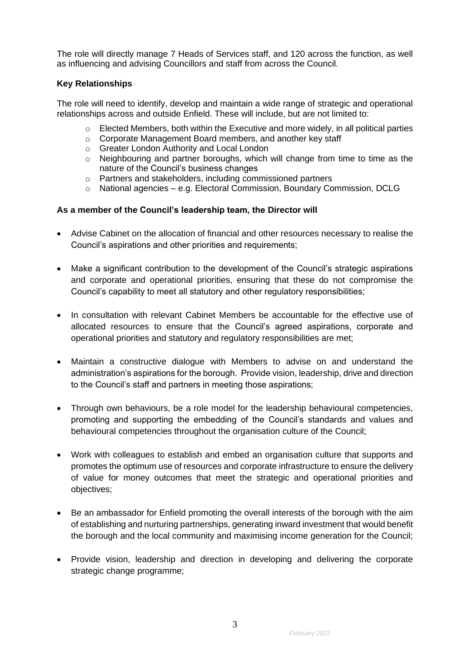The role will directly manage 7 Heads of Services staff, and 120 across the function, as well as influencing and advising Councillors and staff from across the Council.

# **Key Relationships**

The role will need to identify, develop and maintain a wide range of strategic and operational relationships across and outside Enfield. These will include, but are not limited to:

- $\circ$  Elected Members, both within the Executive and more widely, in all political parties
- o Corporate Management Board members, and another key staff
- o Greater London Authority and Local London
- o Neighbouring and partner boroughs, which will change from time to time as the nature of the Council's business changes
- o Partners and stakeholders, including commissioned partners
- $\circ$  National agencies e.g. Electoral Commission, Boundary Commission, DCLG

## **As a member of the Council's leadership team, the Director will**

- Advise Cabinet on the allocation of financial and other resources necessary to realise the Council's aspirations and other priorities and requirements;
- Make a significant contribution to the development of the Council's strategic aspirations and corporate and operational priorities, ensuring that these do not compromise the Council's capability to meet all statutory and other regulatory responsibilities;
- In consultation with relevant Cabinet Members be accountable for the effective use of allocated resources to ensure that the Council's agreed aspirations, corporate and operational priorities and statutory and regulatory responsibilities are met;
- Maintain a constructive dialogue with Members to advise on and understand the administration's aspirations for the borough. Provide vision, leadership, drive and direction to the Council's staff and partners in meeting those aspirations;
- Through own behaviours, be a role model for the leadership behavioural competencies, promoting and supporting the embedding of the Council's standards and values and behavioural competencies throughout the organisation culture of the Council;
- Work with colleagues to establish and embed an organisation culture that supports and promotes the optimum use of resources and corporate infrastructure to ensure the delivery of value for money outcomes that meet the strategic and operational priorities and objectives;
- Be an ambassador for Enfield promoting the overall interests of the borough with the aim of establishing and nurturing partnerships, generating inward investment that would benefit the borough and the local community and maximising income generation for the Council;
- Provide vision, leadership and direction in developing and delivering the corporate strategic change programme;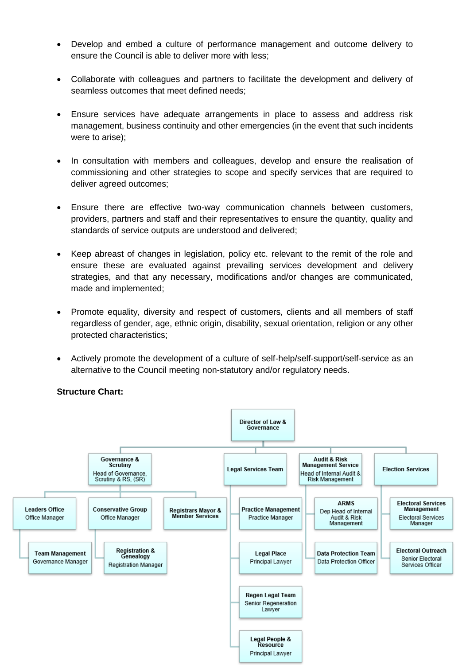- Develop and embed a culture of performance management and outcome delivery to ensure the Council is able to deliver more with less;
- Collaborate with colleagues and partners to facilitate the development and delivery of seamless outcomes that meet defined needs;
- Ensure services have adequate arrangements in place to assess and address risk management, business continuity and other emergencies (in the event that such incidents were to arise);
- In consultation with members and colleagues, develop and ensure the realisation of commissioning and other strategies to scope and specify services that are required to deliver agreed outcomes;
- Ensure there are effective two-way communication channels between customers, providers, partners and staff and their representatives to ensure the quantity, quality and standards of service outputs are understood and delivered;
- Keep abreast of changes in legislation, policy etc. relevant to the remit of the role and ensure these are evaluated against prevailing services development and delivery strategies, and that any necessary, modifications and/or changes are communicated, made and implemented;
- Promote equality, diversity and respect of customers, clients and all members of staff regardless of gender, age, ethnic origin, disability, sexual orientation, religion or any other protected characteristics;
- Actively promote the development of a culture of self-help/self-support/self-service as an alternative to the Council meeting non-statutory and/or regulatory needs.

# **Structure Chart:**

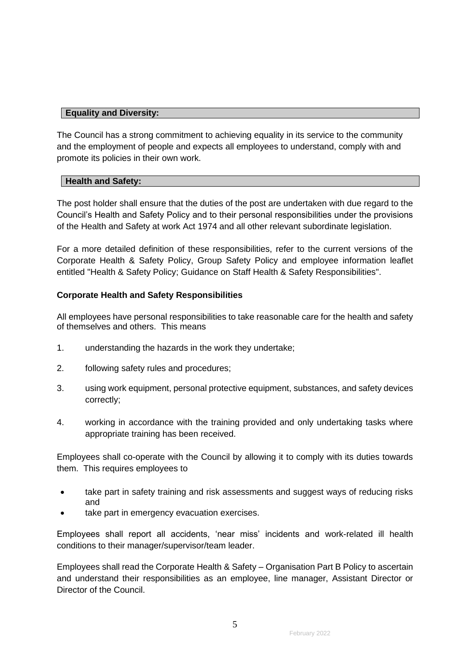### **Equality and Diversity:**

The Council has a strong commitment to achieving equality in its service to the community and the employment of people and expects all employees to understand, comply with and promote its policies in their own work.

### **Health and Safety:**

The post holder shall ensure that the duties of the post are undertaken with due regard to the Council's Health and Safety Policy and to their personal responsibilities under the provisions of the Health and Safety at work Act 1974 and all other relevant subordinate legislation.

For a more detailed definition of these responsibilities, refer to the current versions of the Corporate Health & Safety Policy, Group Safety Policy and employee information leaflet entitled "Health & Safety Policy; Guidance on Staff Health & Safety Responsibilities".

### **Corporate Health and Safety Responsibilities**

All employees have personal responsibilities to take reasonable care for the health and safety of themselves and others. This means

- 1. understanding the hazards in the work they undertake;
- 2. following safety rules and procedures;
- 3. using work equipment, personal protective equipment, substances, and safety devices correctly;
- 4. working in accordance with the training provided and only undertaking tasks where appropriate training has been received.

Employees shall co-operate with the Council by allowing it to comply with its duties towards them. This requires employees to

- take part in safety training and risk assessments and suggest ways of reducing risks and
- take part in emergency evacuation exercises.

Employees shall report all accidents, 'near miss' incidents and work-related ill health conditions to their manager/supervisor/team leader.

Employees shall read the Corporate Health & Safety – Organisation Part B Policy to ascertain and understand their responsibilities as an employee, line manager, Assistant Director or Director of the Council.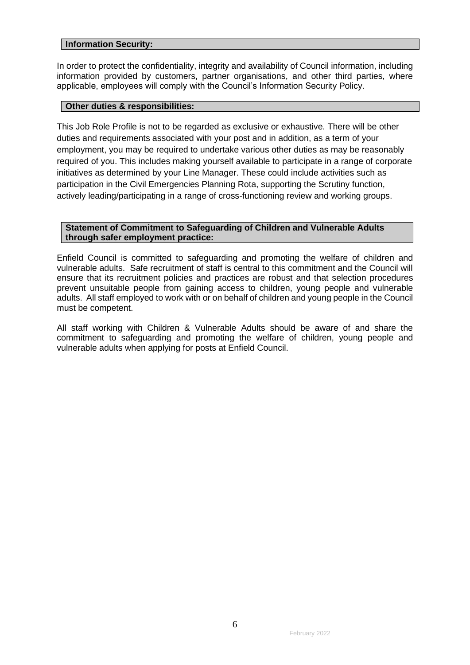### **Information Security:**

In order to protect the confidentiality, integrity and availability of Council information, including information provided by customers, partner organisations, and other third parties, where applicable, employees will comply with the Council's Information Security Policy.

### **Other duties & responsibilities:**

This Job Role Profile is not to be regarded as exclusive or exhaustive. There will be other duties and requirements associated with your post and in addition, as a term of your employment, you may be required to undertake various other duties as may be reasonably required of you. This includes making yourself available to participate in a range of corporate initiatives as determined by your Line Manager. These could include activities such as participation in the Civil Emergencies Planning Rota, supporting the Scrutiny function, actively leading/participating in a range of cross-functioning review and working groups.

### **Statement of Commitment to Safeguarding of Children and Vulnerable Adults through safer employment practice:**

Enfield Council is committed to safeguarding and promoting the welfare of children and vulnerable adults. Safe recruitment of staff is central to this commitment and the Council will ensure that its recruitment policies and practices are robust and that selection procedures prevent unsuitable people from gaining access to children, young people and vulnerable adults. All staff employed to work with or on behalf of children and young people in the Council must be competent.

All staff working with Children & Vulnerable Adults should be aware of and share the commitment to safeguarding and promoting the welfare of children, young people and vulnerable adults when applying for posts at Enfield Council.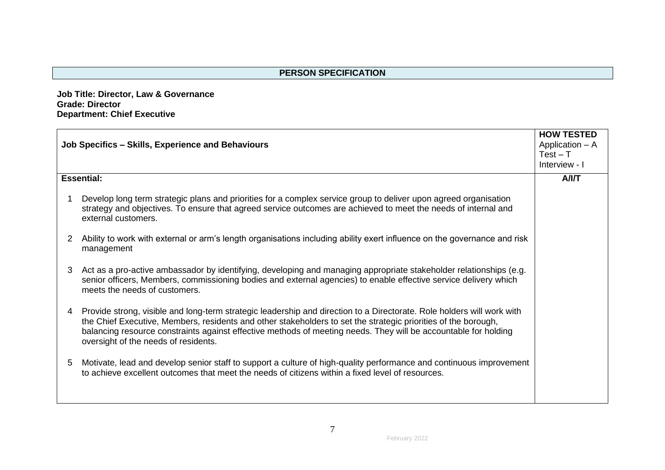**Job Title: Director, Law & Governance Grade: Director Department: Chief Executive**

| Job Specifics - Skills, Experience and Behaviours |                                                                                                                                                                                                                                                                                                                                                                                                     | <b>HOW TESTED</b><br>Application - A<br>$Test - T$ |
|---------------------------------------------------|-----------------------------------------------------------------------------------------------------------------------------------------------------------------------------------------------------------------------------------------------------------------------------------------------------------------------------------------------------------------------------------------------------|----------------------------------------------------|
|                                                   |                                                                                                                                                                                                                                                                                                                                                                                                     | Interview - I                                      |
|                                                   | <b>Essential:</b>                                                                                                                                                                                                                                                                                                                                                                                   | A/IT                                               |
|                                                   | Develop long term strategic plans and priorities for a complex service group to deliver upon agreed organisation<br>strategy and objectives. To ensure that agreed service outcomes are achieved to meet the needs of internal and<br>external customers.                                                                                                                                           |                                                    |
| 2                                                 | Ability to work with external or arm's length organisations including ability exert influence on the governance and risk<br>management                                                                                                                                                                                                                                                              |                                                    |
| 3                                                 | Act as a pro-active ambassador by identifying, developing and managing appropriate stakeholder relationships (e.g.<br>senior officers, Members, commissioning bodies and external agencies) to enable effective service delivery which<br>meets the needs of customers.                                                                                                                             |                                                    |
| 4                                                 | Provide strong, visible and long-term strategic leadership and direction to a Directorate. Role holders will work with<br>the Chief Executive, Members, residents and other stakeholders to set the strategic priorities of the borough,<br>balancing resource constraints against effective methods of meeting needs. They will be accountable for holding<br>oversight of the needs of residents. |                                                    |
| 5                                                 | Motivate, lead and develop senior staff to support a culture of high-quality performance and continuous improvement<br>to achieve excellent outcomes that meet the needs of citizens within a fixed level of resources.                                                                                                                                                                             |                                                    |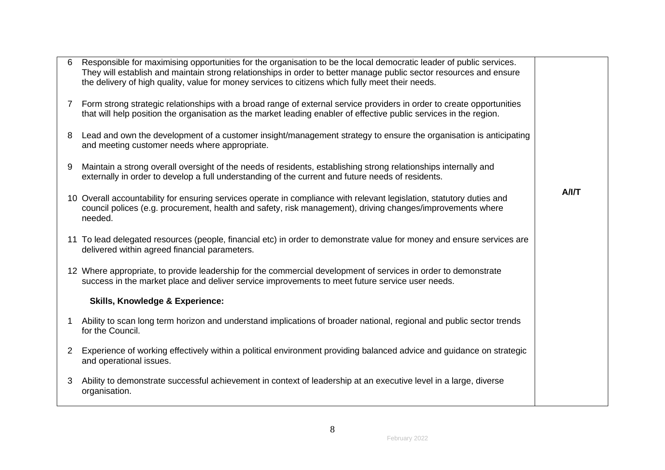| 6            | Responsible for maximising opportunities for the organisation to be the local democratic leader of public services.<br>They will establish and maintain strong relationships in order to better manage public sector resources and ensure<br>the delivery of high quality, value for money services to citizens which fully meet their needs. |      |
|--------------|-----------------------------------------------------------------------------------------------------------------------------------------------------------------------------------------------------------------------------------------------------------------------------------------------------------------------------------------------|------|
| 7            | Form strong strategic relationships with a broad range of external service providers in order to create opportunities<br>that will help position the organisation as the market leading enabler of effective public services in the region.                                                                                                   |      |
| 8            | Lead and own the development of a customer insight/management strategy to ensure the organisation is anticipating<br>and meeting customer needs where appropriate.                                                                                                                                                                            |      |
| 9            | Maintain a strong overall oversight of the needs of residents, establishing strong relationships internally and<br>externally in order to develop a full understanding of the current and future needs of residents.                                                                                                                          |      |
|              | 10 Overall accountability for ensuring services operate in compliance with relevant legislation, statutory duties and<br>council polices (e.g. procurement, health and safety, risk management), driving changes/improvements where<br>needed.                                                                                                | A/IT |
|              | 11 To lead delegated resources (people, financial etc) in order to demonstrate value for money and ensure services are<br>delivered within agreed financial parameters.                                                                                                                                                                       |      |
|              | 12 Where appropriate, to provide leadership for the commercial development of services in order to demonstrate<br>success in the market place and deliver service improvements to meet future service user needs.                                                                                                                             |      |
|              | <b>Skills, Knowledge &amp; Experience:</b>                                                                                                                                                                                                                                                                                                    |      |
| 1            | Ability to scan long term horizon and understand implications of broader national, regional and public sector trends<br>for the Council.                                                                                                                                                                                                      |      |
| $\mathbf{2}$ | Experience of working effectively within a political environment providing balanced advice and guidance on strategic<br>and operational issues.                                                                                                                                                                                               |      |
| 3            | Ability to demonstrate successful achievement in context of leadership at an executive level in a large, diverse<br>organisation.                                                                                                                                                                                                             |      |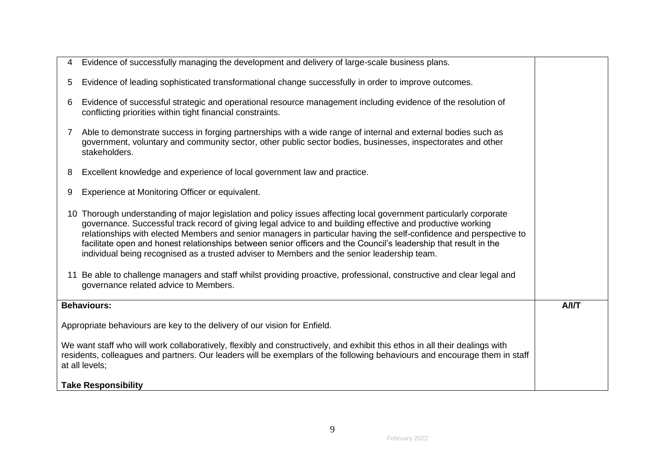| 4                                                                                                                                                                                                                                                                          | Evidence of successfully managing the development and delivery of large-scale business plans.                                                                                                                                                                                                                                                                                                                                                                                                                                                                              |      |
|----------------------------------------------------------------------------------------------------------------------------------------------------------------------------------------------------------------------------------------------------------------------------|----------------------------------------------------------------------------------------------------------------------------------------------------------------------------------------------------------------------------------------------------------------------------------------------------------------------------------------------------------------------------------------------------------------------------------------------------------------------------------------------------------------------------------------------------------------------------|------|
| 5                                                                                                                                                                                                                                                                          | Evidence of leading sophisticated transformational change successfully in order to improve outcomes.                                                                                                                                                                                                                                                                                                                                                                                                                                                                       |      |
| 6                                                                                                                                                                                                                                                                          | Evidence of successful strategic and operational resource management including evidence of the resolution of<br>conflicting priorities within tight financial constraints.                                                                                                                                                                                                                                                                                                                                                                                                 |      |
| 7                                                                                                                                                                                                                                                                          | Able to demonstrate success in forging partnerships with a wide range of internal and external bodies such as<br>government, voluntary and community sector, other public sector bodies, businesses, inspectorates and other<br>stakeholders.                                                                                                                                                                                                                                                                                                                              |      |
| 8                                                                                                                                                                                                                                                                          | Excellent knowledge and experience of local government law and practice.                                                                                                                                                                                                                                                                                                                                                                                                                                                                                                   |      |
| 9                                                                                                                                                                                                                                                                          | Experience at Monitoring Officer or equivalent.                                                                                                                                                                                                                                                                                                                                                                                                                                                                                                                            |      |
|                                                                                                                                                                                                                                                                            | 10 Thorough understanding of major legislation and policy issues affecting local government particularly corporate<br>governance. Successful track record of giving legal advice to and building effective and productive working<br>relationships with elected Members and senior managers in particular having the self-confidence and perspective to<br>facilitate open and honest relationships between senior officers and the Council's leadership that result in the<br>individual being recognised as a trusted adviser to Members and the senior leadership team. |      |
|                                                                                                                                                                                                                                                                            | 11 Be able to challenge managers and staff whilst providing proactive, professional, constructive and clear legal and<br>governance related advice to Members.                                                                                                                                                                                                                                                                                                                                                                                                             |      |
|                                                                                                                                                                                                                                                                            | <b>Behaviours:</b>                                                                                                                                                                                                                                                                                                                                                                                                                                                                                                                                                         | A/IT |
|                                                                                                                                                                                                                                                                            | Appropriate behaviours are key to the delivery of our vision for Enfield.                                                                                                                                                                                                                                                                                                                                                                                                                                                                                                  |      |
| We want staff who will work collaboratively, flexibly and constructively, and exhibit this ethos in all their dealings with<br>residents, colleagues and partners. Our leaders will be exemplars of the following behaviours and encourage them in staff<br>at all levels; |                                                                                                                                                                                                                                                                                                                                                                                                                                                                                                                                                                            |      |
|                                                                                                                                                                                                                                                                            | <b>Take Responsibility</b>                                                                                                                                                                                                                                                                                                                                                                                                                                                                                                                                                 |      |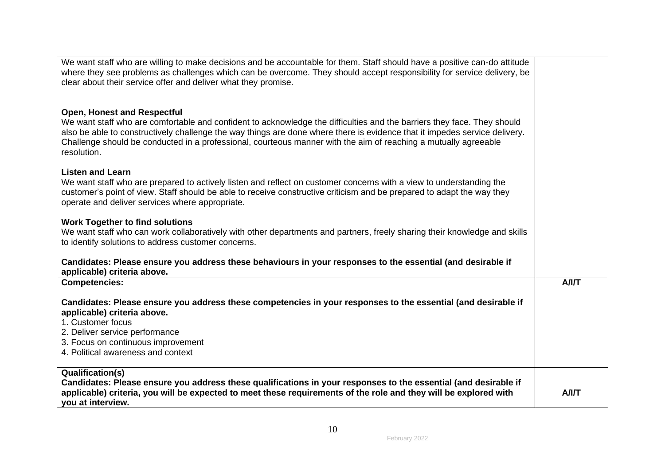| We want staff who are willing to make decisions and be accountable for them. Staff should have a positive can-do attitude<br>where they see problems as challenges which can be overcome. They should accept responsibility for service delivery, be                                                                                                                                                                          |      |
|-------------------------------------------------------------------------------------------------------------------------------------------------------------------------------------------------------------------------------------------------------------------------------------------------------------------------------------------------------------------------------------------------------------------------------|------|
| clear about their service offer and deliver what they promise.                                                                                                                                                                                                                                                                                                                                                                |      |
|                                                                                                                                                                                                                                                                                                                                                                                                                               |      |
| <b>Open, Honest and Respectful</b><br>We want staff who are comfortable and confident to acknowledge the difficulties and the barriers they face. They should<br>also be able to constructively challenge the way things are done where there is evidence that it impedes service delivery.<br>Challenge should be conducted in a professional, courteous manner with the aim of reaching a mutually agreeable<br>resolution. |      |
| <b>Listen and Learn</b><br>We want staff who are prepared to actively listen and reflect on customer concerns with a view to understanding the<br>customer's point of view. Staff should be able to receive constructive criticism and be prepared to adapt the way they<br>operate and deliver services where appropriate.                                                                                                   |      |
| <b>Work Together to find solutions</b><br>We want staff who can work collaboratively with other departments and partners, freely sharing their knowledge and skills<br>to identify solutions to address customer concerns.                                                                                                                                                                                                    |      |
| Candidates: Please ensure you address these behaviours in your responses to the essential (and desirable if<br>applicable) criteria above.                                                                                                                                                                                                                                                                                    |      |
| <b>Competencies:</b>                                                                                                                                                                                                                                                                                                                                                                                                          | A/IT |
| Candidates: Please ensure you address these competencies in your responses to the essential (and desirable if<br>applicable) criteria above.                                                                                                                                                                                                                                                                                  |      |
| 1. Customer focus                                                                                                                                                                                                                                                                                                                                                                                                             |      |
| 2. Deliver service performance                                                                                                                                                                                                                                                                                                                                                                                                |      |
| 3. Focus on continuous improvement                                                                                                                                                                                                                                                                                                                                                                                            |      |
| 4. Political awareness and context                                                                                                                                                                                                                                                                                                                                                                                            |      |
| <b>Qualification(s)</b>                                                                                                                                                                                                                                                                                                                                                                                                       |      |
| Candidates: Please ensure you address these qualifications in your responses to the essential (and desirable if                                                                                                                                                                                                                                                                                                               |      |
| applicable) criteria, you will be expected to meet these requirements of the role and they will be explored with                                                                                                                                                                                                                                                                                                              | A/IT |
| you at interview.                                                                                                                                                                                                                                                                                                                                                                                                             |      |